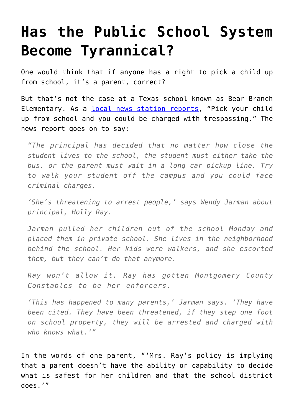## **[Has the Public School System](https://intellectualtakeout.org/2016/04/has-the-public-school-system-become-tyrannical/) [Become Tyrannical?](https://intellectualtakeout.org/2016/04/has-the-public-school-system-become-tyrannical/)**

One would think that if anyone has a right to pick a child up from school, it's a parent, correct?

But that's not the case at a Texas school known as Bear Branch Elementary. As a [local news station reports](http://www.fox26houston.com/news/117783912-story), "Pick your child up from school and you could be charged with trespassing." The news report goes on to say:

*"The principal has decided that no matter how close the student lives to the school, the student must either take the bus, or the parent must wait in a long car pickup line. Try to walk your student off the campus and you could face criminal charges.*

*'She's threatening to arrest people,' says Wendy Jarman about principal, Holly Ray.*

*Jarman pulled her children out of the school Monday and placed them in private school. She lives in the neighborhood behind the school. Her kids were walkers, and she escorted them, but they can't do that anymore.*

*Ray won't allow it. Ray has gotten Montgomery County Constables to be her enforcers.*

*'This has happened to many parents,' Jarman says. 'They have been cited. They have been threatened, if they step one foot on school property, they will be arrested and charged with who knows what.'"*

In the words of one parent, "'Mrs. Ray's policy is implying that a parent doesn't have the ability or capability to decide what is safest for her children and that the school district does.'"